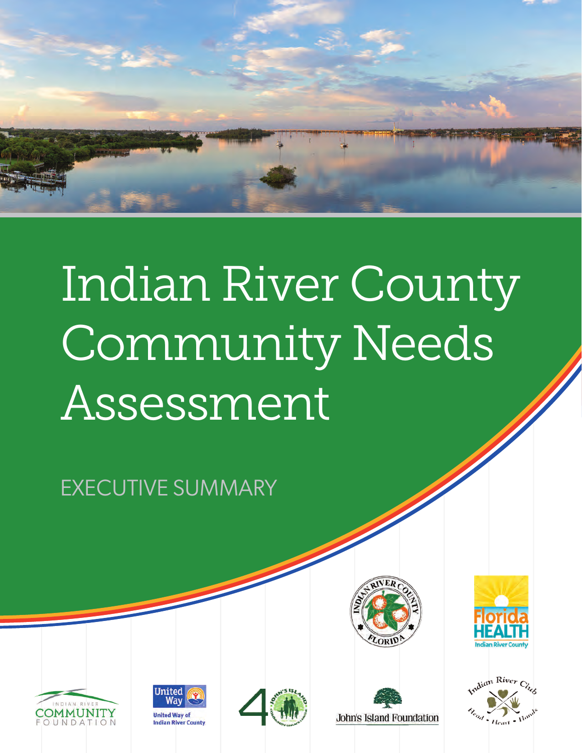

# Indian River County Community Needs Assessment

EXECUTIVE SUMMARY



**John's Island Foundation** 









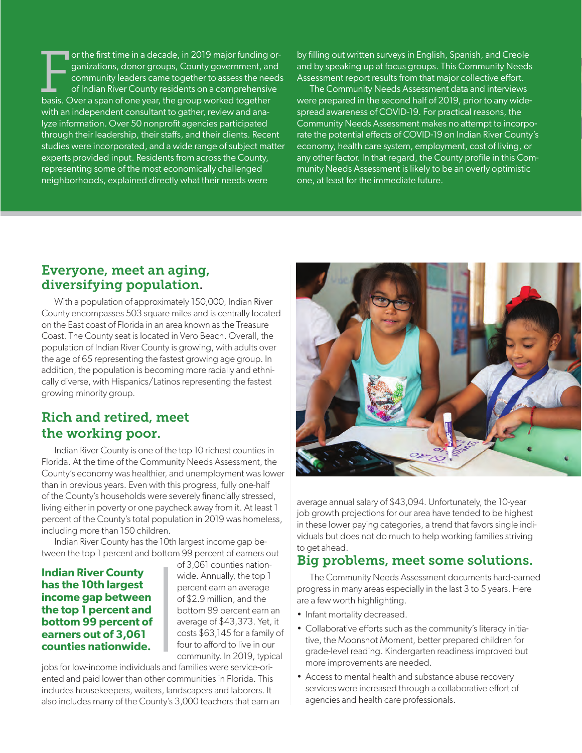For the first time in a decade, in 2019 major funding consistent of the first time in a decade, in 2019 major funding community leaders came together to assess the nee of Indian River County residents on a comprehensiv bas or the first time in a decade, in 2019 major funding organizations, donor groups, County government, and community leaders came together to assess the needs of Indian River County residents on a comprehensive with an independent consultant to gather, review and analyze information. Over 50 nonprofit agencies participated through their leadership, their staffs, and their clients. Recent studies were incorporated, and a wide range of subject matter experts provided input. Residents from across the County, representing some of the most economically challenged neighborhoods, explained directly what their needs were

by filling out written surveys in English, Spanish, and Creole and by speaking up at focus groups. This Community Needs Assessment report results from that major collective effort.

The Community Needs Assessment data and interviews were prepared in the second half of 2019, prior to any widespread awareness of COVID-19. For practical reasons, the Community Needs Assessment makes no attempt to incorporate the potential effects of COVID-19 on Indian River County's economy, health care system, employment, cost of living, or any other factor. In that regard, the County profile in this Community Needs Assessment is likely to be an overly optimistic one, at least for the immediate future.

#### Everyone, meet an aging, diversifying population.

With a population of approximately 150,000, Indian River County encompasses 503 square miles and is centrally located on the East coast of Florida in an area known as the Treasure Coast. The County seat is located in Vero Beach. Overall, the population of Indian River County is growing, with adults over the age of 65 representing the fastest growing age group. In addition, the population is becoming more racially and ethnically diverse, with Hispanics/Latinos representing the fastest growing minority group.

## Rich and retired, meet the working poor.

Indian River County is one of the top 10 richest counties in Florida. At the time of the Community Needs Assessment, the County's economy was healthier, and unemployment was lower than in previous years. Even with this progress, fully one-half of the County's households were severely financially stressed, living either in poverty or one paycheck away from it. At least 1 percent of the County's total population in 2019 was homeless, including more than 150 children.

Indian River County has the 10th largest income gap between the top 1 percent and bottom 99 percent of earners out

#### **Indian River County has the 10th largest income gap between the top 1 percent and bottom 99 percent of earners out of 3,061 counties nationwide.**

of 3,061 counties nationwide. Annually, the top 1 percent earn an average of \$2.9 million, and the bottom 99 percent earn an average of \$43,373. Yet, it costs \$63,145 for a family of four to afford to live in our community. In 2019, typical

jobs for low-income individuals and families were service-oriented and paid lower than other communities in Florida. This includes housekeepers, waiters, landscapers and laborers. It also includes many of the County's 3,000 teachers that earn an



average annual salary of \$43,094. Unfortunately, the 10-year job growth projections for our area have tended to be highest in these lower paying categories, a trend that favors single individuals but does not do much to help working families striving to get ahead.

### Big problems, meet some solutions.

The Community Needs Assessment documents hard-earned progress in many areas especially in the last 3 to 5 years. Here are a few worth highlighting.

- Infant mortality decreased.
- Collaborative efforts such as the community's literacy initiative, the Moonshot Moment, better prepared children for grade-level reading. Kindergarten readiness improved but more improvements are needed.
- Access to mental health and substance abuse recovery services were increased through a collaborative effort of agencies and health care professionals.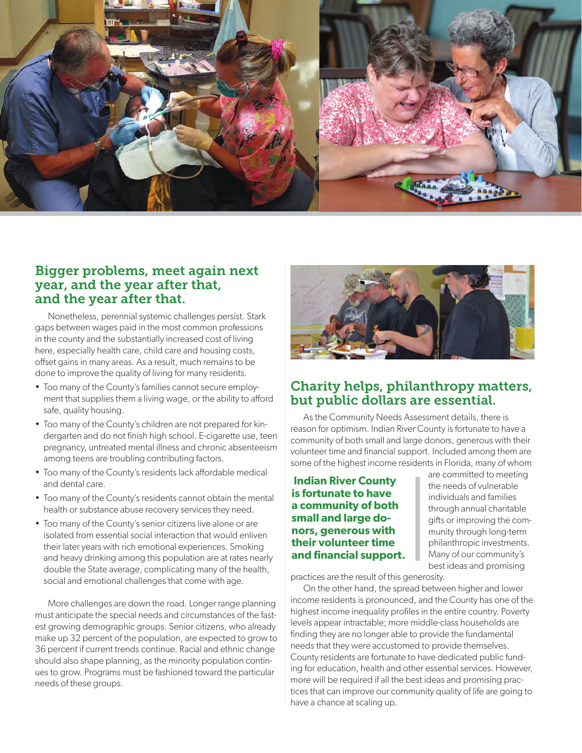

#### Bigger problems, meet again next year, and the year after that, and the year after that.

Nonetheless, perennial systemic challenges persist. Stark gaps between wages paid in the most common professions in the county and the substantially increased cost of living here, especially health care, child care and housing costs, offset gains in many areas. As a result, much remains to be done to improve the quality of living for many residents.

- Too many of the County's families cannot secure employment that supplies them a living wage, or the ability to afford safe, quality housing.
- Too many of the County's children are not prepared for kindergarten and do not finish high school. E-cigarette use, teen pregnancy, untreated mental illness and chronic absenteeism among teens are troubling contributing factors.
- Too many of the County's residents lack affordable medical and dental care.
- Too many of the County's residents cannot obtain the mental health or substance abuse recovery services they need.
- Too many of the County's senior citizens live alone or are isolated from essential social interaction that would enliven their later years with rich emotional experiences. Smoking and heavy drinking among this population are at rates nearly double the State average, complicating many of the health, social and emotional challenges that come with age.

More challenges are down the road. Longer range planning must anticipate the special needs and circumstances of the fastest growing demographic groups. Senior citizens, who already make up 32 percent of the population, are expected to grow to 36 percent if current trends continue. Racial and ethnic change should also shape planning, as the minority population continues to grow. Programs must be fashioned toward the particular needs of these groups.



## Charity helps, philanthropy matters, but public dollars are essential.

As the Community Needs Assessment details, there is reason for optimism. Indian River County is fortunate to have a community of both small and large donors, generous with their volunteer time and financial support. Included among them are some of the highest income residents in Florida, many of whom

#### **Indian River County is fortunate to have a community of both small and large donors, generous with their volunteer time and financial support.**

are committed to meeting the needs of vulnerable individuals and families through annual charitable gifts or improving the community through long-term philanthropic investments. Many of our community's best ideas and promising

practices are the result of this generosity.

On the other hand, the spread between higher and lower income residents is pronounced, and the County has one of the highest income inequality profiles in the entire country. Poverty levels appear intractable; more middle-class households are finding they are no longer able to provide the fundamental needs that they were accustomed to provide themselves. County residents are fortunate to have dedicated public funding for education, health and other essential services. However, more will be required if all the best ideas and promising practices that can improve our community quality of life are going to have a chance at scaling up.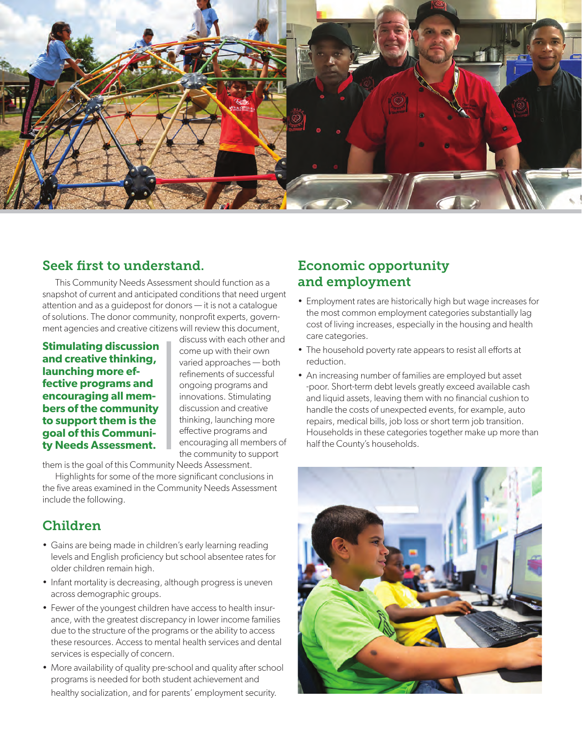

### Seek first to understand.

This Community Needs Assessment should function as a snapshot of current and anticipated conditions that need urgent attention and as a guidepost for donors — it is not a catalogue of solutions. The donor community, nonprofit experts, government agencies and creative citizens will review this document,

**Stimulating discussion and creative thinking, launching more effective programs and encouraging all members of the community to support them is the goal of this Community Needs Assessment.**

discuss with each other and come up with their own varied approaches — both refinements of successful ongoing programs and innovations. Stimulating discussion and creative thinking, launching more effective programs and encouraging all members of the community to support

them is the goal of this Community Needs Assessment.

Highlights for some of the more significant conclusions in the five areas examined in the Community Needs Assessment include the following.

### Children

- Gains are being made in children's early learning reading levels and English proficiency but school absentee rates for older children remain high.
- Infant mortality is decreasing, although progress is uneven across demographic groups.
- Fewer of the youngest children have access to health insurance, with the greatest discrepancy in lower income families due to the structure of the programs or the ability to access these resources. Access to mental health services and dental services is especially of concern.
- More availability of quality pre-school and quality after school programs is needed for both student achievement and healthy socialization, and for parents' employment security.

## Economic opportunity and employment

- Employment rates are historically high but wage increases for the most common employment categories substantially lag cost of living increases, especially in the housing and health care categories.
- The household poverty rate appears to resist all efforts at reduction.
- An increasing number of families are employed but asset -poor. Short-term debt levels greatly exceed available cash and liquid assets, leaving them with no financial cushion to handle the costs of unexpected events, for example, auto repairs, medical bills, job loss or short term job transition. Households in these categories together make up more than half the County's households.

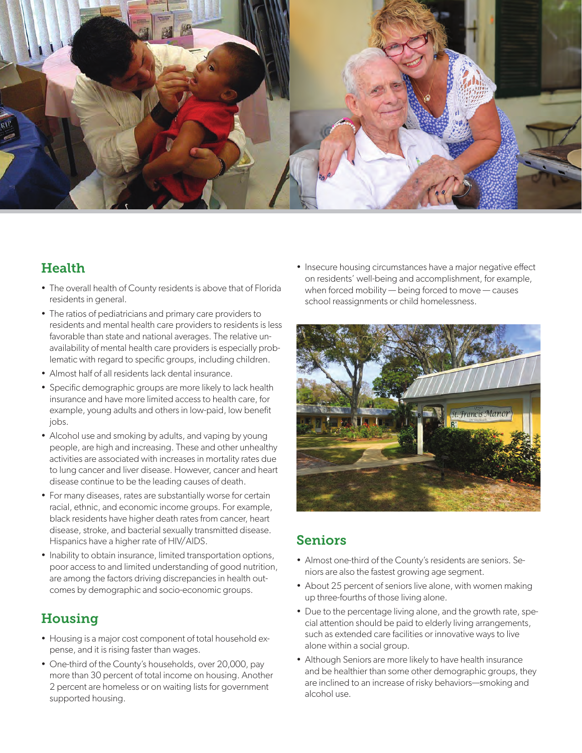

# **Health**

- The overall health of County residents is above that of Florida residents in general.
- The ratios of pediatricians and primary care providers to residents and mental health care providers to residents is less favorable than state and national averages. The relative unavailability of mental health care providers is especially problematic with regard to specific groups, including children.
- Almost half of all residents lack dental insurance.
- Specific demographic groups are more likely to lack health insurance and have more limited access to health care, for example, young adults and others in low-paid, low benefit jobs.
- Alcohol use and smoking by adults, and vaping by young people, are high and increasing. These and other unhealthy activities are associated with increases in mortality rates due to lung cancer and liver disease. However, cancer and heart disease continue to be the leading causes of death.
- For many diseases, rates are substantially worse for certain racial, ethnic, and economic income groups. For example, black residents have higher death rates from cancer, heart disease, stroke, and bacterial sexually transmitted disease. Hispanics have a higher rate of HIV/AIDS.
- Inability to obtain insurance, limited transportation options, poor access to and limited understanding of good nutrition, are among the factors driving discrepancies in health outcomes by demographic and socio-economic groups.

# **Housing**

- Housing is a major cost component of total household expense, and it is rising faster than wages.
- One-third of the County's households, over 20,000, pay more than 30 percent of total income on housing. Another 2 percent are homeless or on waiting lists for government supported housing.

• Insecure housing circumstances have a major negative effect on residents' well-being and accomplishment, for example, when forced mobility — being forced to move — causes school reassignments or child homelessness.



# Seniors

- Almost one-third of the County's residents are seniors. Seniors are also the fastest growing age segment.
- About 25 percent of seniors live alone, with women making up three-fourths of those living alone.
- Due to the percentage living alone, and the growth rate, special attention should be paid to elderly living arrangements, such as extended care facilities or innovative ways to live alone within a social group.
- Although Seniors are more likely to have health insurance and be healthier than some other demographic groups, they are inclined to an increase of risky behaviors—smoking and alcohol use.